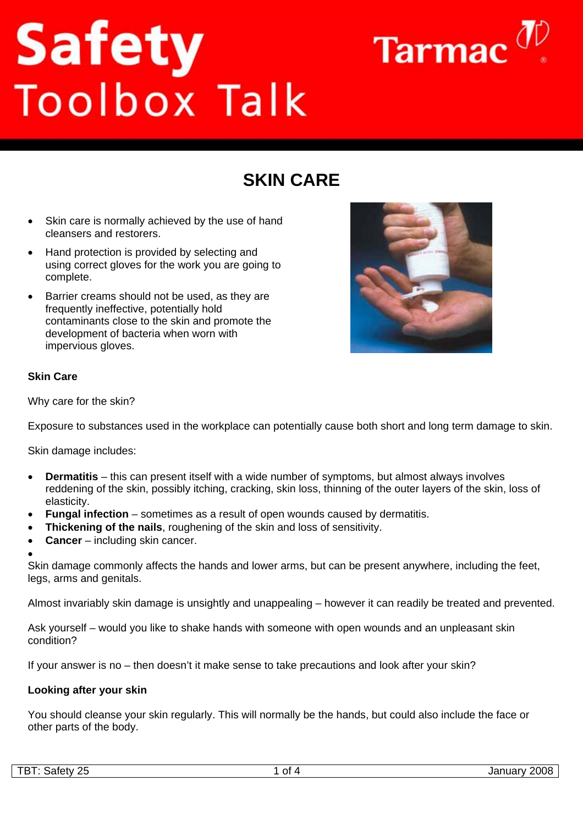# **Safety**<br>Toolbox Talk



# **SKIN CARE**

- Skin care is normally achieved by the use of hand cleansers and restorers.
- Hand protection is provided by selecting and using correct gloves for the work you are going to complete.
- Barrier creams should not be used, as they are frequently ineffective, potentially hold contaminants close to the skin and promote the development of bacteria when worn with impervious gloves.



### **Skin Care**

Why care for the skin?

Exposure to substances used in the workplace can potentially cause both short and long term damage to skin.

Skin damage includes:

- **Dermatitis** this can present itself with a wide number of symptoms, but almost always involves reddening of the skin, possibly itching, cracking, skin loss, thinning of the outer layers of the skin, loss of elasticity.
- **Fungal infection** sometimes as a result of open wounds caused by dermatitis.
- **Thickening of the nails**, roughening of the skin and loss of sensitivity.
- **Cancer** including skin cancer.
- •

Skin damage commonly affects the hands and lower arms, but can be present anywhere, including the feet, legs, arms and genitals.

Almost invariably skin damage is unsightly and unappealing – however it can readily be treated and prevented.

Ask yourself – would you like to shake hands with someone with open wounds and an unpleasant skin condition?

If your answer is no – then doesn't it make sense to take precautions and look after your skin?

### **Looking after your skin**

You should cleanse your skin regularly. This will normally be the hands, but could also include the face or other parts of the body.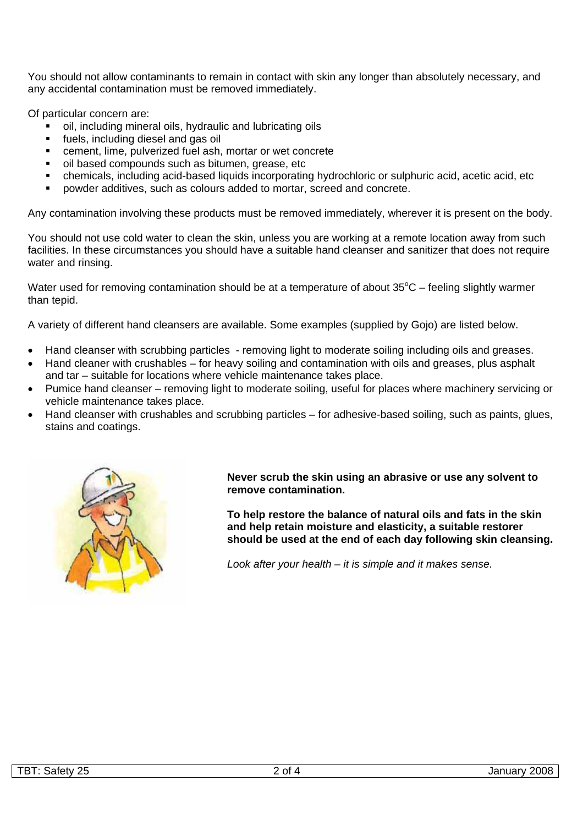You should not allow contaminants to remain in contact with skin any longer than absolutely necessary, and any accidental contamination must be removed immediately.

Of particular concern are:

- oil, including mineral oils, hydraulic and lubricating oils
- fuels, including diesel and gas oil
- cement, lime, pulverized fuel ash, mortar or wet concrete
- oil based compounds such as bitumen, grease, etc
- chemicals, including acid-based liquids incorporating hydrochloric or sulphuric acid, acetic acid, etc
- powder additives, such as colours added to mortar, screed and concrete.

Any contamination involving these products must be removed immediately, wherever it is present on the body.

You should not use cold water to clean the skin, unless you are working at a remote location away from such facilities. In these circumstances you should have a suitable hand cleanser and sanitizer that does not require water and rinsing.

Water used for removing contamination should be at a temperature of about  $35^{\circ}$ C – feeling slightly warmer than tepid.

A variety of different hand cleansers are available. Some examples (supplied by Gojo) are listed below.

- Hand cleanser with scrubbing particles removing light to moderate soiling including oils and greases.
- Hand cleaner with crushables for heavy soiling and contamination with oils and greases, plus asphalt and tar – suitable for locations where vehicle maintenance takes place.
- Pumice hand cleanser removing light to moderate soiling, useful for places where machinery servicing or vehicle maintenance takes place.
- Hand cleanser with crushables and scrubbing particles for adhesive-based soiling, such as paints, glues, stains and coatings.



**Never scrub the skin using an abrasive or use any solvent to remove contamination.** 

**To help restore the balance of natural oils and fats in the skin and help retain moisture and elasticity, a suitable restorer should be used at the end of each day following skin cleansing.**

*Look after your health – it is simple and it makes sense.*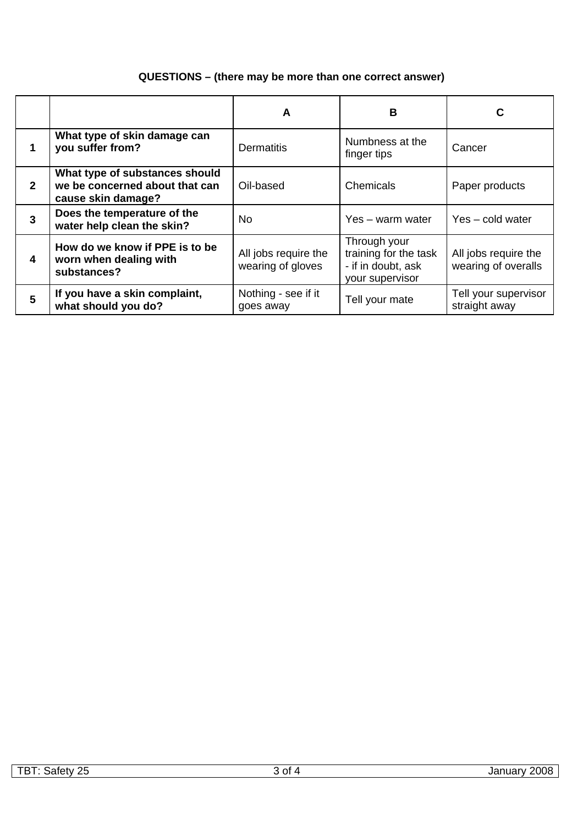## **QUESTIONS – (there may be more than one correct answer)**

|                |                                                                                        | A                                         | В                                                                              | С                                           |
|----------------|----------------------------------------------------------------------------------------|-------------------------------------------|--------------------------------------------------------------------------------|---------------------------------------------|
|                | What type of skin damage can<br>you suffer from?                                       | <b>Dermatitis</b>                         | Numbness at the<br>finger tips                                                 | Cancer                                      |
| $\mathbf{2}$   | What type of substances should<br>we be concerned about that can<br>cause skin damage? | Oil-based                                 | Chemicals                                                                      | Paper products                              |
| $\overline{3}$ | Does the temperature of the<br>water help clean the skin?                              | No.                                       | Yes – warm water                                                               | Yes – cold water                            |
| 4              | How do we know if PPE is to be<br>worn when dealing with<br>substances?                | All jobs require the<br>wearing of gloves | Through your<br>training for the task<br>- if in doubt, ask<br>your supervisor | All jobs require the<br>wearing of overalls |
| 5              | If you have a skin complaint,<br>what should you do?                                   | Nothing - see if it<br>goes away          | Tell your mate                                                                 | Tell your supervisor<br>straight away       |